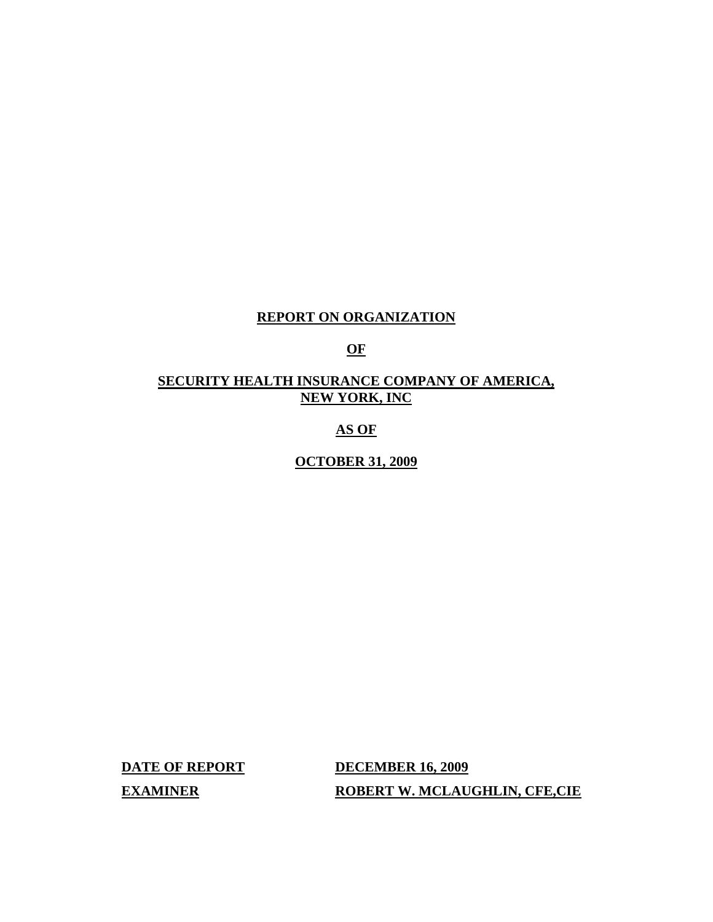# **REPORT ON ORGANIZATION**

# **OF**

## **SECURITY HEALTH INSURANCE COMPANY OF AMERICA, NEW YORK, INC**

# **AS OF**

**OCTOBER 31, 2009** 

**DATE OF REPORT DECEMBER 16, 2009 EXAMINER ROBERT W. MCLAUGHLIN, CFE,CIE**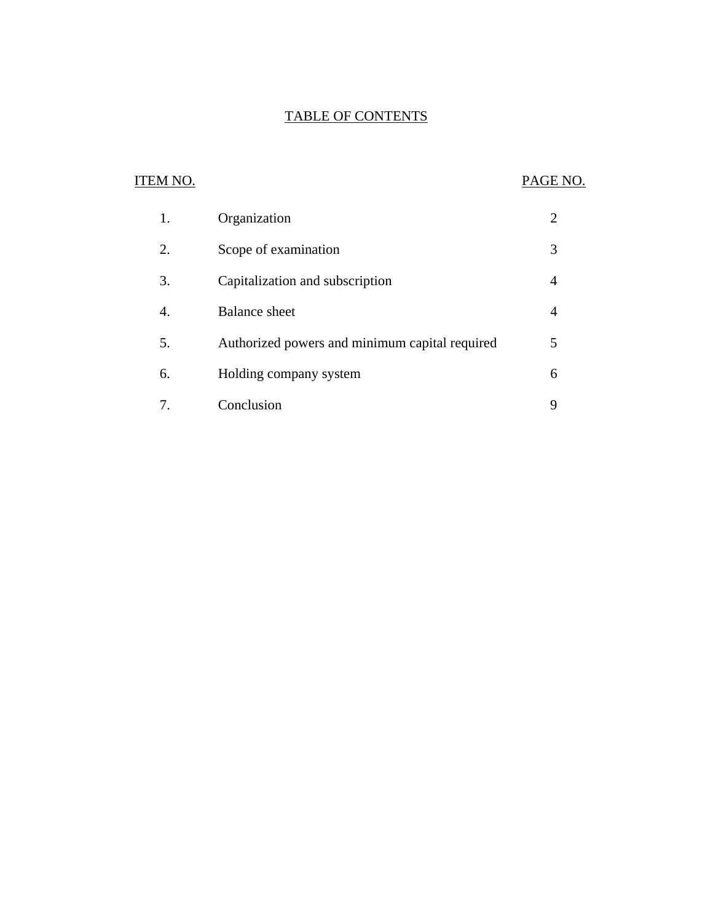# TABLE OF CONTENTS

# **ITEM NO.**

# PAGE NO.

| 1. | Organization                                   |   |
|----|------------------------------------------------|---|
| 2. | Scope of examination                           | 3 |
| 3. | Capitalization and subscription                |   |
|    | <b>Balance</b> sheet                           |   |
| 5. | Authorized powers and minimum capital required | 5 |
| 6. | Holding company system                         | 6 |
|    | Conclusion                                     |   |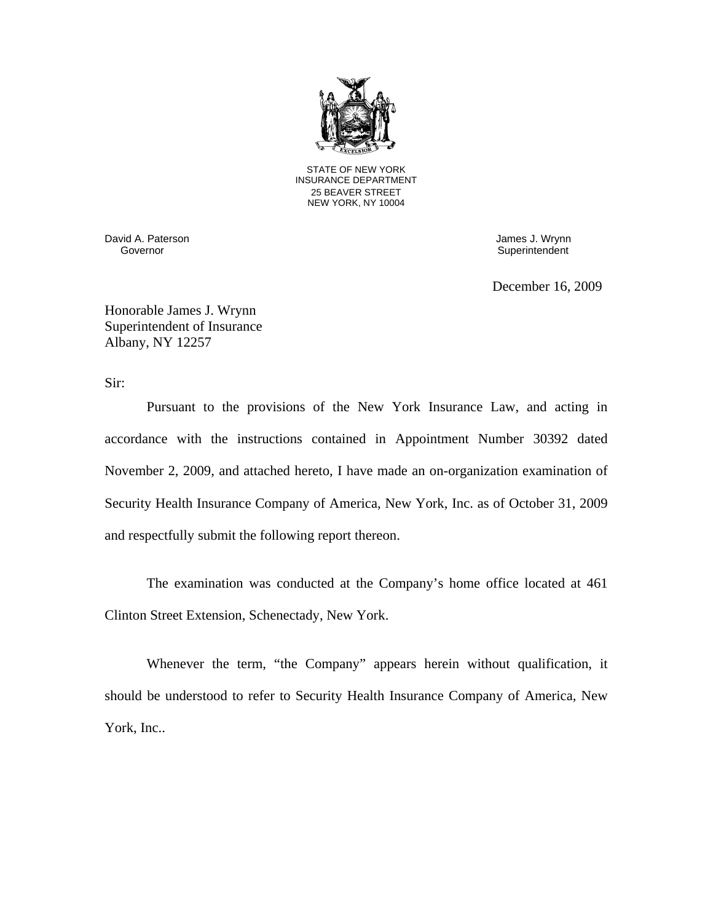

STATE OF NEW YORK INSURANCE DEPARTMENT 25 BEAVER STREET NEW YORK, NY 10004

David A. Paterson James J. Wrynn

Superintendent

December 16, 2009

Honorable James J. Wrynn Superintendent of Insurance Albany, NY 12257

Sir:

Pursuant to the provisions of the New York Insurance Law, and acting in accordance with the instructions contained in Appointment Number 30392 dated November 2, 2009, and attached hereto, I have made an on-organization examination of Security Health Insurance Company of America, New York, Inc. as of October 31, 2009 and respectfully submit the following report thereon.

The examination was conducted at the Company's home office located at 461 Clinton Street Extension, Schenectady, New York.

Whenever the term, "the Company" appears herein without qualification, it should be understood to refer to Security Health Insurance Company of America, New York, Inc..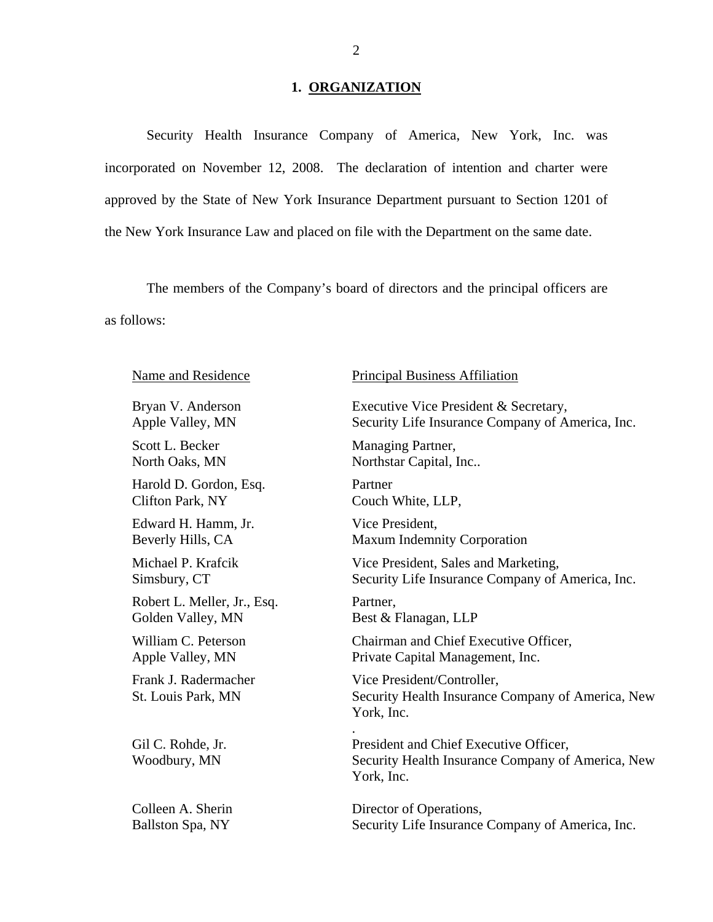### **1. ORGANIZATION**

Security Health Insurance Company of America, New York, Inc. was incorporated on November 12, 2008. The declaration of intention and charter were approved by the State of New York Insurance Department pursuant to Section 1201 of the New York Insurance Law and placed on file with the Department on the same date.

The members of the Company's board of directors and the principal officers are as follows:

Scott L. Becker Managing Partner,

Harold D. Gordon, Esq. Partner Clifton Park, NY Couch White, LLP,

Edward H. Hamm, Jr. Vice President,

Robert L. Meller, Jr., Esq. Partner, Golden Valley, MN Best & Flanagan, LLP

### Name and Residence Principal Business Affiliation

Bryan V. Anderson Executive Vice President & Secretary, Apple Valley, MN Security Life Insurance Company of America, Inc.

North Oaks, MN Northstar Capital, Inc..

Beverly Hills, CA Maxum Indemnity Corporation

Michael P. Krafcik Vice President, Sales and Marketing, Simsbury, CT Security Life Insurance Company of America, Inc.

.

William C. Peterson Chairman and Chief Executive Officer, Apple Valley, MN Private Capital Management, Inc.

Frank J. Radermacher Vice President/Controller, St. Louis Park, MN Security Health Insurance Company of America, New York, Inc.

Gil C. Rohde, Jr. President and Chief Executive Officer, Woodbury, MN Security Health Insurance Company of America, New York, Inc.

Colleen A. Sherin Director of Operations, Ballston Spa, NY Security Life Insurance Company of America, Inc.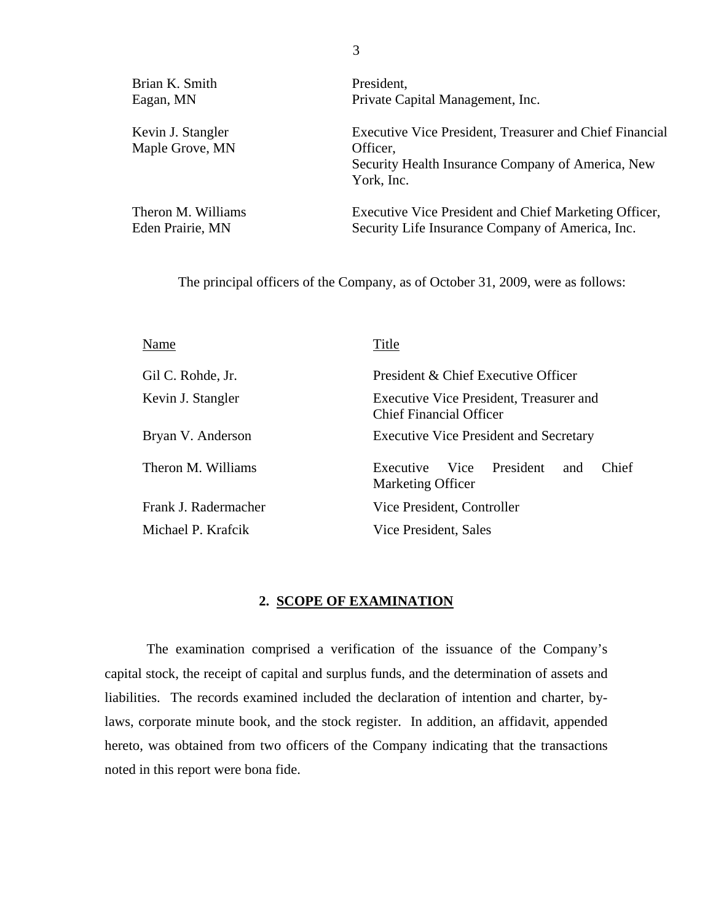Brian K. Smith President,

Maple Grove, MN Officer,

Eagan, MN Private Capital Management, Inc.

Kevin J. Stangler Executive Vice President, Treasurer and Chief Financial Security Health Insurance Company of America, New York, Inc.

Theron M. Williams Executive Vice President and Chief Marketing Officer, Eden Prairie, MN Security Life Insurance Company of America, Inc.

The principal officers of the Company, as of October 31, 2009, were as follows:

| Name                 | Title                                                                     |  |  |
|----------------------|---------------------------------------------------------------------------|--|--|
| Gil C. Rohde, Jr.    | President & Chief Executive Officer                                       |  |  |
| Kevin J. Stangler    | Executive Vice President, Treasurer and<br><b>Chief Financial Officer</b> |  |  |
| Bryan V. Anderson    | <b>Executive Vice President and Secretary</b>                             |  |  |
| Theron M. Williams   | Vice President<br>Chief<br>Executive<br>and<br><b>Marketing Officer</b>   |  |  |
| Frank J. Radermacher | Vice President, Controller                                                |  |  |
| Michael P. Krafcik   | Vice President, Sales                                                     |  |  |

#### **2. SCOPE OF EXAMINATION**

The examination comprised a verification of the issuance of the Company's capital stock, the receipt of capital and surplus funds, and the determination of assets and liabilities. The records examined included the declaration of intention and charter, bylaws, corporate minute book, and the stock register. In addition, an affidavit, appended hereto, was obtained from two officers of the Company indicating that the transactions noted in this report were bona fide.

3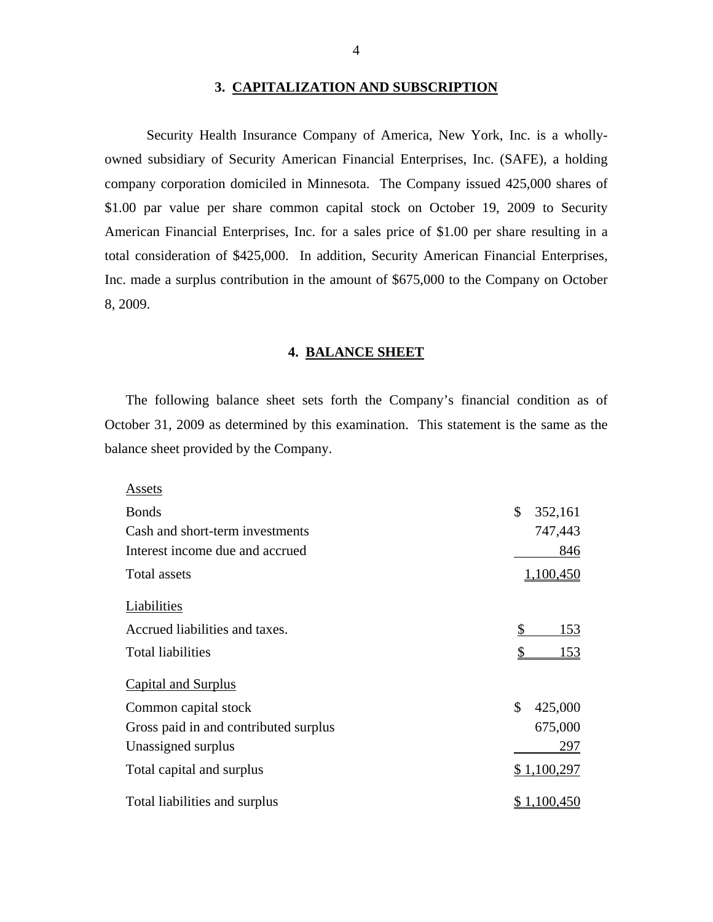#### **3. CAPITALIZATION AND SUBSCRIPTION**

Security Health Insurance Company of America, New York, Inc. is a whollyowned subsidiary of Security American Financial Enterprises, Inc. (SAFE), a holding company corporation domiciled in Minnesota. The Company issued 425,000 shares of \$1.00 par value per share common capital stock on October 19, 2009 to Security American Financial Enterprises, Inc. for a sales price of \$1.00 per share resulting in a total consideration of \$425,000. In addition, Security American Financial Enterprises, Inc. made a surplus contribution in the amount of \$675,000 to the Company on October 8, 2009.

#### **4. BALANCE SHEET**

The following balance sheet sets forth the Company's financial condition as of October 31, 2009 as determined by this examination. This statement is the same as the balance sheet provided by the Company.

| Assets                                |                  |
|---------------------------------------|------------------|
| <b>Bonds</b>                          | \$<br>352,161    |
| Cash and short-term investments       | 747,443          |
| Interest income due and accrued       | 846              |
| Total assets                          | 1,100,450        |
| Liabilities                           |                  |
| Accrued liabilities and taxes.        | \$<br>153        |
| <b>Total liabilities</b>              | \$<br><u>153</u> |
| <b>Capital and Surplus</b>            |                  |
| Common capital stock                  | \$<br>425,000    |
| Gross paid in and contributed surplus | 675,000          |
| Unassigned surplus                    | 297              |
| Total capital and surplus             | \$1,100,297      |
| Total liabilities and surplus         | 1,100,450        |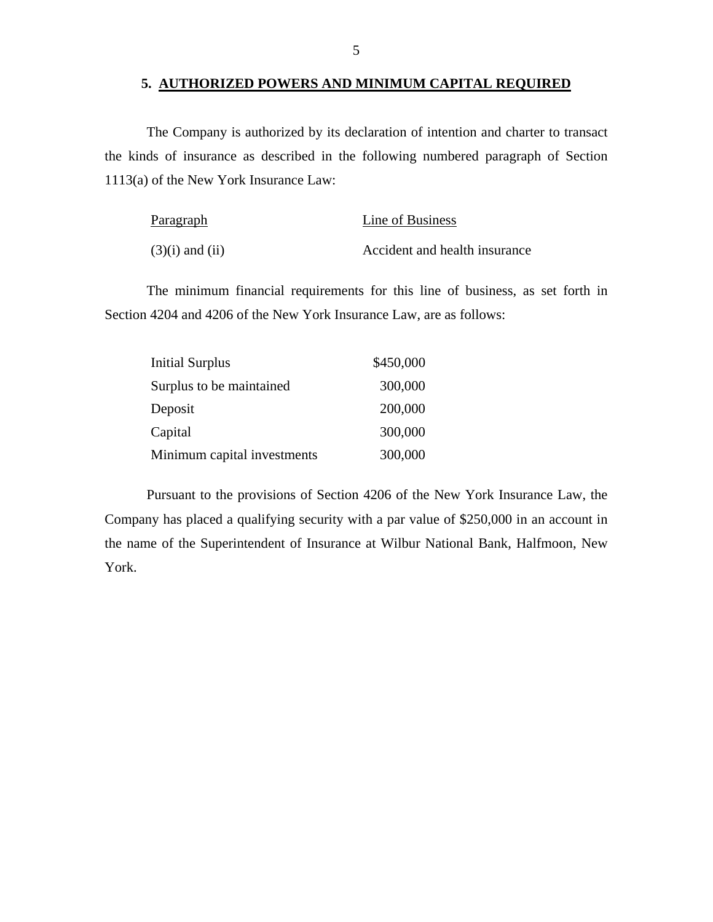### **5. AUTHORIZED POWERS AND MINIMUM CAPITAL REQUIRED**

The Company is authorized by its declaration of intention and charter to transact the kinds of insurance as described in the following numbered paragraph of Section 1113(a) of the New York Insurance Law:

| Paragraph           | Line of Business              |
|---------------------|-------------------------------|
| $(3)(i)$ and $(ii)$ | Accident and health insurance |

The minimum financial requirements for this line of business, as set forth in Section 4204 and 4206 of the New York Insurance Law, are as follows:

| <b>Initial Surplus</b>      | \$450,000 |
|-----------------------------|-----------|
| Surplus to be maintained    | 300,000   |
| Deposit                     | 200,000   |
| Capital                     | 300,000   |
| Minimum capital investments | 300,000   |

Pursuant to the provisions of Section 4206 of the New York Insurance Law, the Company has placed a qualifying security with a par value of \$250,000 in an account in the name of the Superintendent of Insurance at Wilbur National Bank, Halfmoon, New York.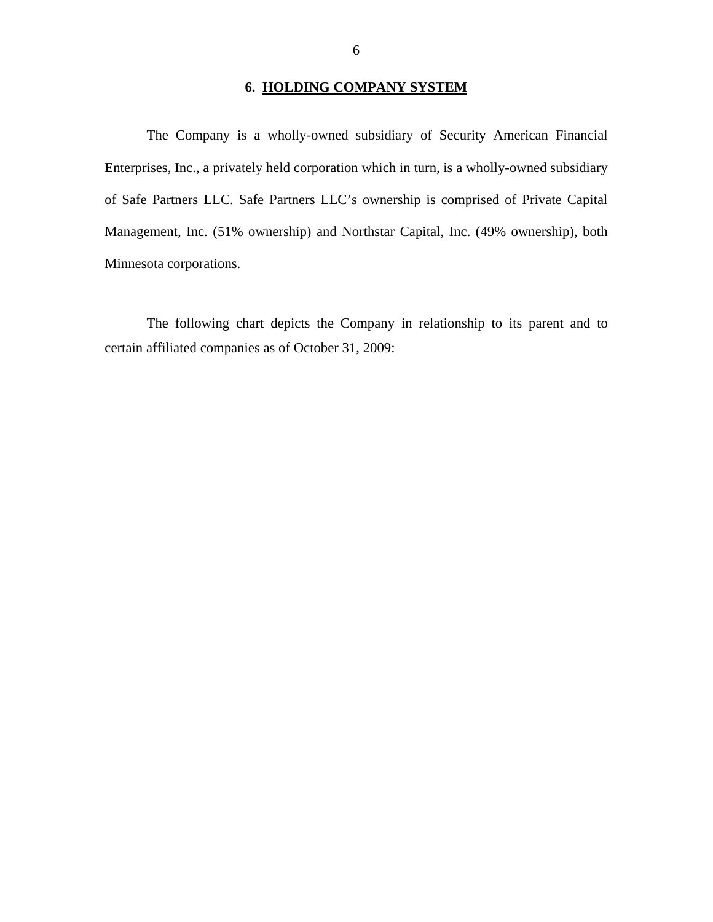### **6. HOLDING COMPANY SYSTEM**

<span id="page-7-0"></span>The Company is a wholly-owned subsidiary of Security American Financial Enterprises, Inc., a privately held corporation which in turn, is a wholly-owned subsidiary of Safe Partners LLC. Safe Partners LLC's ownership is comprised of Private Capital Management, Inc. (51% ownership) and Northstar Capital, Inc. (49% ownership), both Minnesota corporations.

The following chart depicts the Company in relationship to its parent and to certain affiliated companies as of October 31, 2009: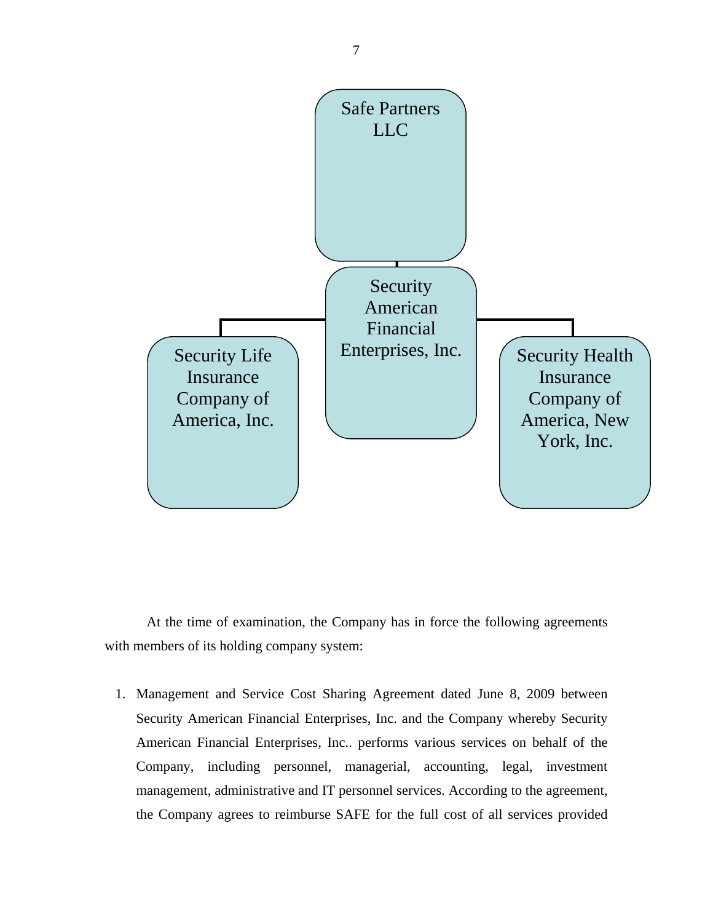

At the time of examination, the Company has in force the following agreements with members of its holding company system:

1. Management and Service Cost Sharing Agreement dated June 8, 2009 between Security American Financial Enterprises, Inc. and the Company whereby Security American Financial Enterprises, Inc.. performs various services on behalf of the Company, including personnel, managerial, accounting, legal, investment management, administrative and IT personnel services. According to the agreement, the Company agrees to reimburse SAFE for the full cost of all services provided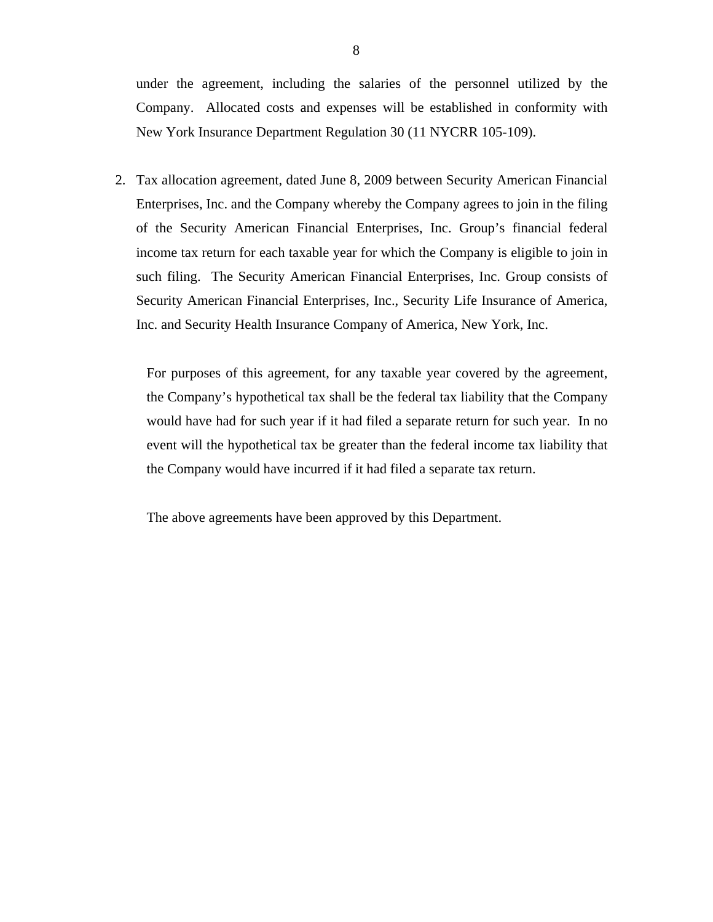under the agreement, including the salaries of the personnel utilized by the Company. Allocated costs and expenses will be established in conformity with New York Insurance Department Regulation 30 (11 NYCRR 105-109).

2. Tax allocation agreement, dated June 8, 2009 between Security American Financial Enterprises, Inc. and the Company whereby the Company agrees to join in the filing of the Security American Financial Enterprises, Inc. Group's financial federal income tax return for each taxable year for which the Company is eligible to join in such filing. The Security American Financial Enterprises, Inc. Group consists of Security American Financial Enterprises, Inc., Security Life Insurance of America, Inc. and Security Health Insurance Company of America, New York, Inc.

For purposes of this agreement, for any taxable year covered by the agreement, the Company's hypothetical tax shall be the federal tax liability that the Company would have had for such year if it had filed a separate return for such year. In no event will the hypothetical tax be greater than the federal income tax liability that the Company would have incurred if it had filed a separate tax return.

The above agreements have been approved by this Department.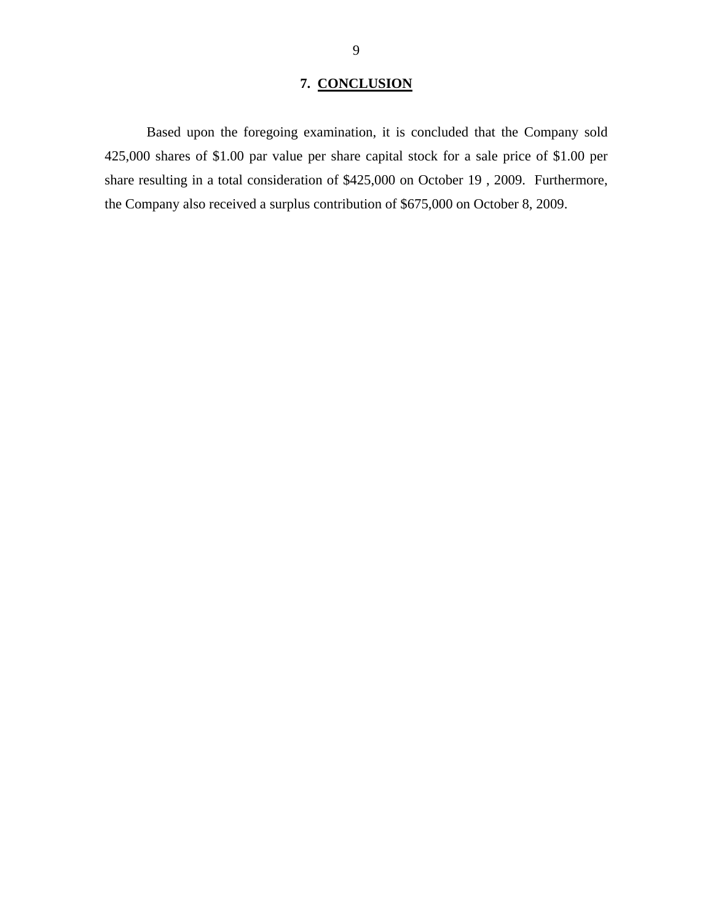## **7. CONCLUSION**

<span id="page-10-0"></span>Based upon the foregoing examination, it is concluded that the Company sold 425,000 shares of \$1.00 par value per share capital stock for a sale price of \$1.00 per share resulting in a total consideration of \$425,000 on October 19 , 2009. Furthermore, the Company also received a surplus contribution of \$675,000 on October 8, 2009.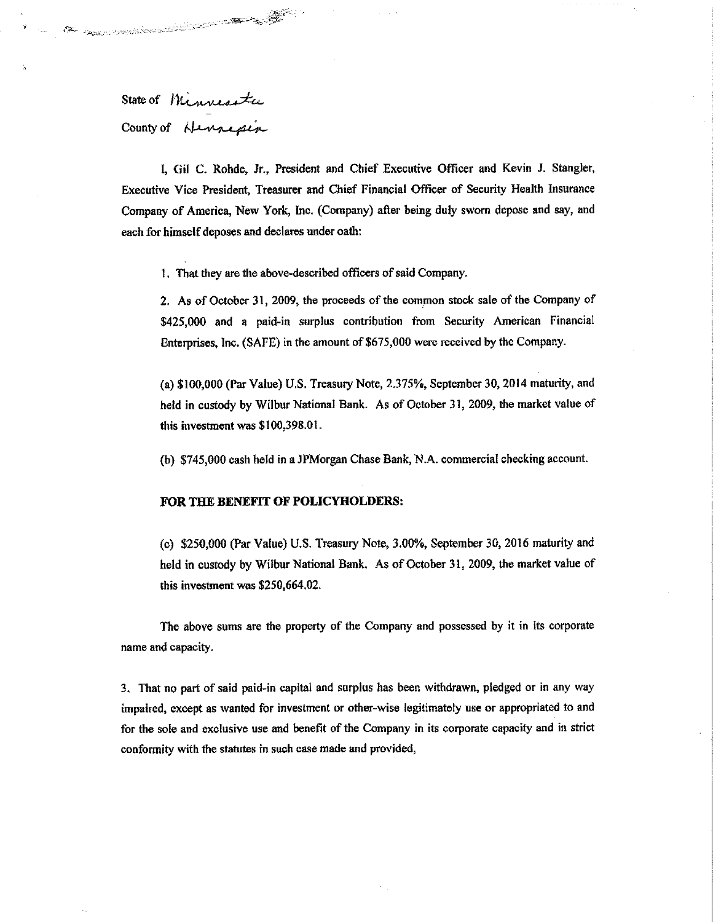State of Minnesota County of Hennepin

I. Gil C. Rohde, Jr., President and Chief Executive Officer and Kevin J. Stangler, Executive Vice President, Treasurer and Chief Financial Officer of Security Health Insurance Company of America, New York, Inc. (Company) after being duly sworn depose and say, and each for himself deposes and declares under oath:

1. That they are the above-described officers of said Company.

2. As of October 31, 2009, the proceeds of the common stock sale of the Company of \$425,000 and a paid-in surplus contribution from Security American Financial Enterprises, Inc. (SAFE) in the amount of \$675,000 were received by the Company.

(a) \$100,000 (Par Value) U.S. Treasury Note, 2.375%, September 30, 2014 maturity, and held in custody by Wilbur National Bank. As of October 31, 2009, the market value of this investment was \$100,398.01.

(b) \$745,000 cash held in a JPMorgan Chase Bank, N.A. commercial checking account.

#### FOR THE BENEFIT OF POLICYHOLDERS:

(c) \$250,000 (Par Value) U.S. Treasury Note, 3.00%, September 30, 2016 maturity and held in custody by Wilbur National Bank. As of October 31, 2009, the market value of this investment was \$250,664.02.

The above sums are the property of the Company and possessed by it in its corporate name and capacity.

3. That no part of said paid-in capital and surplus has been withdrawn, pledged or in any way impaired, except as wanted for investment or other-wise legitimately use or appropriated to and for the sole and exclusive use and benefit of the Company in its corporate capacity and in strict conformity with the statutes in such case made and provided,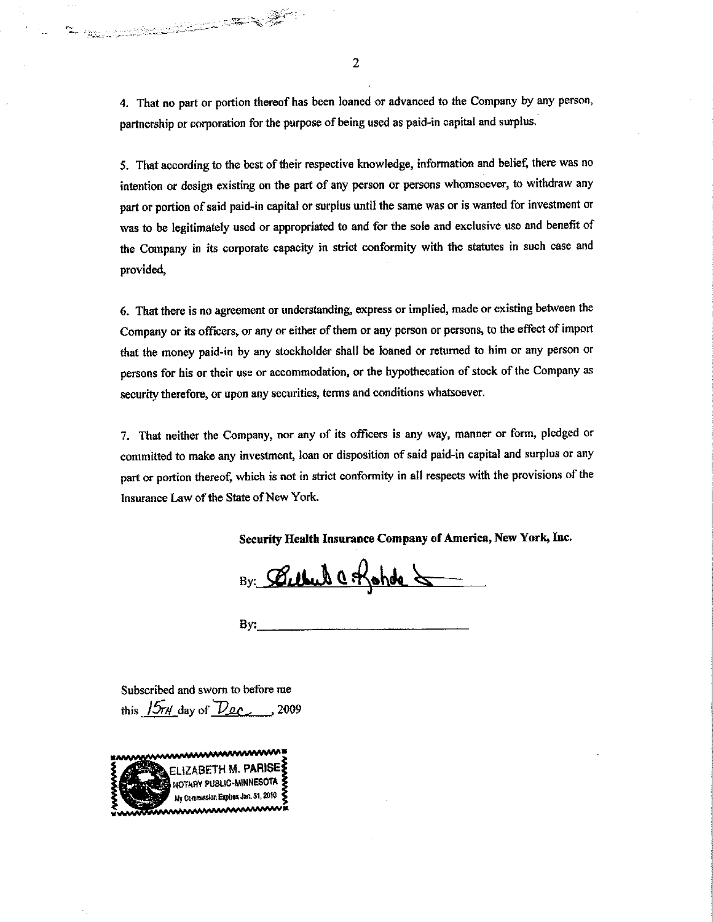4. That no part or portion thereof has been loaned or advanced to the Company by any person, partnership or corporation for the purpose of being used as paid-in capital and surplus.

5. That according to the best of their respective knowledge, information and belief, there was no intention or design existing on the part of any person or persons whomsoever, to withdraw any part or portion of said paid-in capital or surplus until the same was or is wanted for investment or was to be legitimately used or appropriated to and for the sole and exclusive use and benefit of the Company in its corporate capacity in strict conformity with the statutes in such case and provided,

6. That there is no agreement or understanding, express or implied, made or existing between the Company or its officers, or any or either of them or any person or persons, to the effect of import that the money paid-in by any stockholder shall be loaned or returned to him or any person or persons for his or their use or accommodation, or the hypothecation of stock of the Company as security therefore, or upon any securities, terms and conditions whatsoever.

7. That neither the Company, nor any of its officers is any way, manner or form, pledged or committed to make any investment, loan or disposition of said paid-in capital and surplus or any part or portion thereof, which is not in strict conformity in all respects with the provisions of the Insurance Law of the State of New York.

Security Health Insurance Company of America, New York, Inc.

By: Bellevil C. Rohde &

Bv:

Subscribed and sworn to before me this  $15r4$  day of  $Dec$ , 2009

Samuel Communication of the Communication of the Communication of the Communication of the Communication of the

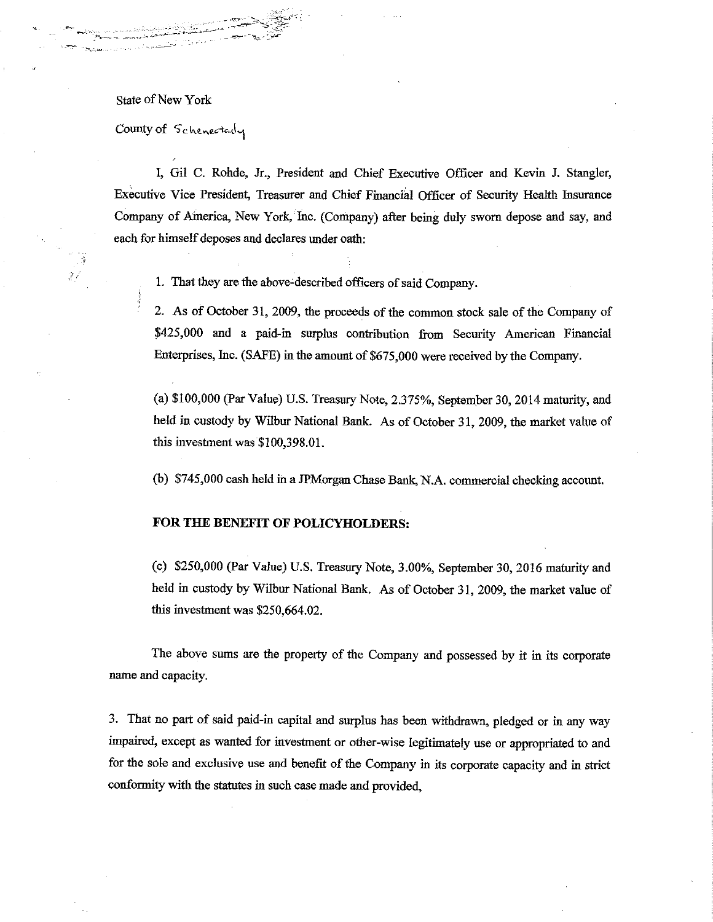State of New York

ده د.<br>ق  $\mathbb{Z}^{\mathbb{Z}}$ 

County of Schenectarly

I, Gil C. Rohde, Jr., President and Chief Executive Officer and Kevin J. Stangler, Executive Vice President, Treasurer and Chief Financial Officer of Security Health Insurance Company of America, New York, Inc. (Company) after being duly sworn depose and say, and each for himself deposes and declares under oath:

1. That they are the above-described officers of said Company.

2. As of October 31, 2009, the proceeds of the common stock sale of the Company of \$425,000 and a paid-in surplus contribution from Security American Financial Enterprises, Inc. (SAFE) in the amount of \$675,000 were received by the Company.

(a) \$100,000 (Par Value) U.S. Treasury Note, 2.375%, September 30, 2014 maturity, and held in custody by Wilbur National Bank. As of October 31, 2009, the market value of this investment was  $$100,398.01$ .

(b) \$745,000 cash held in a JPMorgan Chase Bank, N.A. commercial checking account.

### FOR THE BENEFIT OF POLICYHOLDERS:

(c) \$250,000 (Par Value) U.S. Treasury Note, 3.00%, September 30, 2016 maturity and held in custody by Wilbur National Bank. As of October 31, 2009, the market value of this investment was \$250,664.02.

The above sums are the property of the Company and possessed by it in its corporate name and capacity.

3. That no part of said paid-in capital and surplus has been withdrawn, pledged or in any way impaired, except as wanted for investment or other-wise legitimately use or appropriated to and for the sole and exclusive use and benefit of the Company in its corporate capacity and in strict conformity with the statutes in such case made and provided,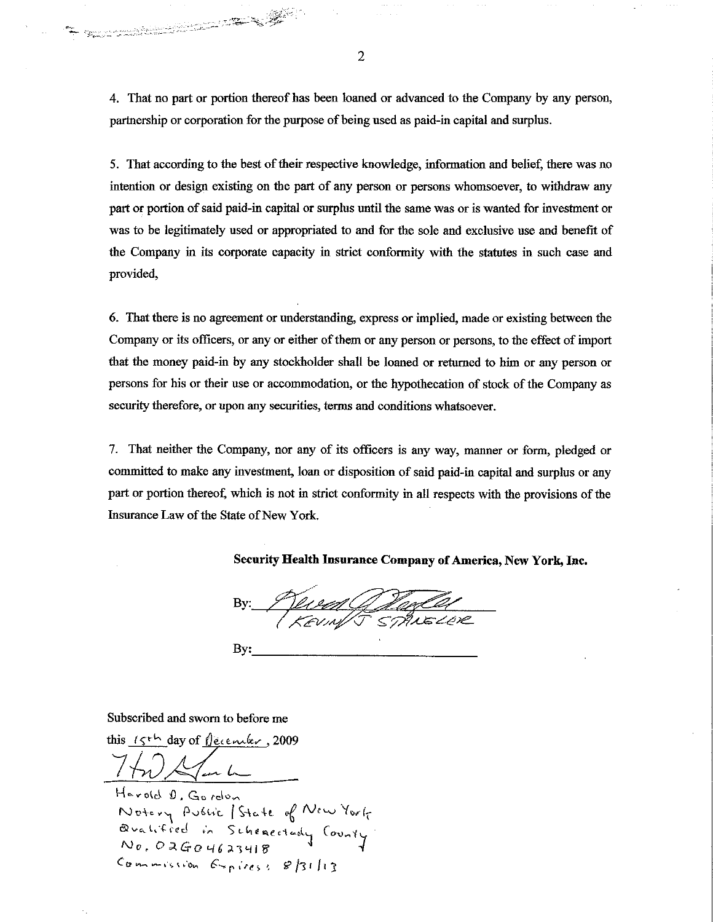4. That no part or portion thereof has been loaned or advanced to the Company by any person, partnership or corporation for the purpose of being used as paid-in capital and surplus.

5. That according to the best of their respective knowledge, information and belief, there was no intention or design existing on the part of any person or persons whomsoever, to withdraw any part or portion of said paid-in capital or surplus until the same was or is wanted for investment or was to be legitimately used or appropriated to and for the sole and exclusive use and benefit of the Company in its corporate capacity in strict conformity with the statutes in such case and provided,

6. That there is no agreement or understanding, express or implied, made or existing between the Company or its officers, or any or either of them or any person or persons, to the effect of import that the money paid-in by any stockholder shall be loaned or returned to him or any person or persons for his or their use or accommodation, or the hypothecation of stock of the Company as security therefore, or upon any securities, terms and conditions whatsoever.

7. That neither the Company, nor any of its officers is any way, manner or form, pledged or committed to make any investment, loan or disposition of said paid-in capital and surplus or any part or portion thereof, which is not in strict conformity in all respects with the provisions of the Insurance Law of the State of New York.

Security Health Insurance Company of America, New York, Inc.

<u> d'aqCA</u><br>STANELER

By:

#### Subscribed and sworn to before me

The complete of the complete of the complete of the complete of the complete of the complete of the complete o<br>Second the complete of the complete of the complete of the complete of the complete of the complete of the comp

this  $15^{th}$  day of fearther, 2009

Harold D. Gordon Notery Public State of New York<br>Qualified in Schenectady County Commission Expires: 8/31/13